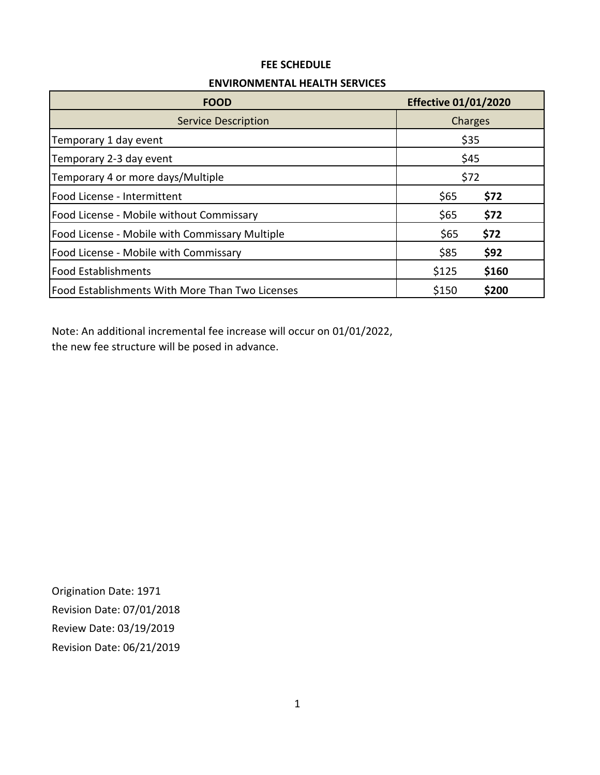#### **ENVIRONMENTAL HEALTH SERVICES**

| <b>FOOD</b>                                     | <b>Effective 01/01/2020</b> |       |  |
|-------------------------------------------------|-----------------------------|-------|--|
| <b>Service Description</b>                      | Charges                     |       |  |
| Temporary 1 day event                           | \$35                        |       |  |
| Temporary 2-3 day event                         | \$45                        |       |  |
| Temporary 4 or more days/Multiple               | \$72                        |       |  |
| Food License - Intermittent                     | \$65                        | \$72  |  |
| Food License - Mobile without Commissary        | \$65                        | \$72  |  |
| Food License - Mobile with Commissary Multiple  | \$65                        | \$72  |  |
| Food License - Mobile with Commissary           | \$85                        | \$92  |  |
| <b>Food Establishments</b>                      | \$125                       | \$160 |  |
| Food Establishments With More Than Two Licenses | \$150                       | \$200 |  |

Note: An additional incremental fee increase will occur on 01/01/2022, the new fee structure will be posed in advance.

Origination Date: 1971 Revision Date: 07/01/2018 Review Date: 03/19/2019 Revision Date: 06/21/2019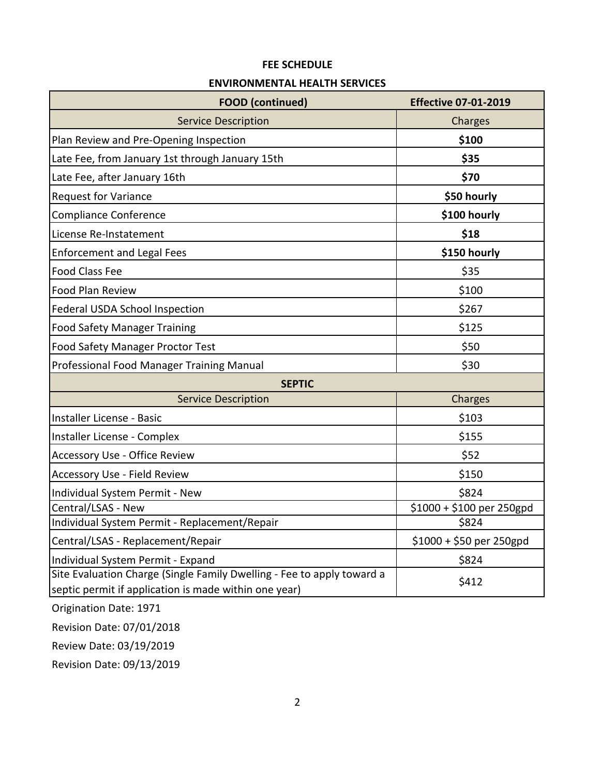#### **ENVIRONMENTAL HEALTH SERVICES**

| <b>FOOD</b> (continued)                                                                                                         | <b>Effective 07-01-2019</b> |
|---------------------------------------------------------------------------------------------------------------------------------|-----------------------------|
| <b>Service Description</b>                                                                                                      | Charges                     |
| Plan Review and Pre-Opening Inspection                                                                                          | \$100                       |
| Late Fee, from January 1st through January 15th                                                                                 | \$35                        |
| Late Fee, after January 16th                                                                                                    | \$70                        |
| <b>Request for Variance</b>                                                                                                     | \$50 hourly                 |
| <b>Compliance Conference</b>                                                                                                    | \$100 hourly                |
| License Re-Instatement                                                                                                          | \$18                        |
| <b>Enforcement and Legal Fees</b>                                                                                               | \$150 hourly                |
| <b>Food Class Fee</b>                                                                                                           | \$35                        |
| Food Plan Review                                                                                                                | \$100                       |
| Federal USDA School Inspection                                                                                                  | \$267                       |
| <b>Food Safety Manager Training</b>                                                                                             | \$125                       |
| Food Safety Manager Proctor Test                                                                                                | \$50                        |
| Professional Food Manager Training Manual                                                                                       | \$30                        |
| <b>SEPTIC</b>                                                                                                                   |                             |
| <b>Service Description</b>                                                                                                      | Charges                     |
| Installer License - Basic                                                                                                       | \$103                       |
| Installer License - Complex                                                                                                     | \$155                       |
| <b>Accessory Use - Office Review</b>                                                                                            | \$52                        |
| <b>Accessory Use - Field Review</b>                                                                                             | \$150                       |
| Individual System Permit - New                                                                                                  | \$824                       |
| Central/LSAS - New                                                                                                              | \$1000 + \$100 per 250gpd   |
| Individual System Permit - Replacement/Repair                                                                                   | \$824                       |
| Central/LSAS - Replacement/Repair                                                                                               | $$1000 + $50$ per 250gpd    |
| Individual System Permit - Expand                                                                                               | \$824                       |
| Site Evaluation Charge (Single Family Dwelling - Fee to apply toward a<br>septic permit if application is made within one year) | \$412                       |

Origination Date: 1971

Revision Date: 07/01/2018

Review Date: 03/19/2019

Revision Date: 09/13/2019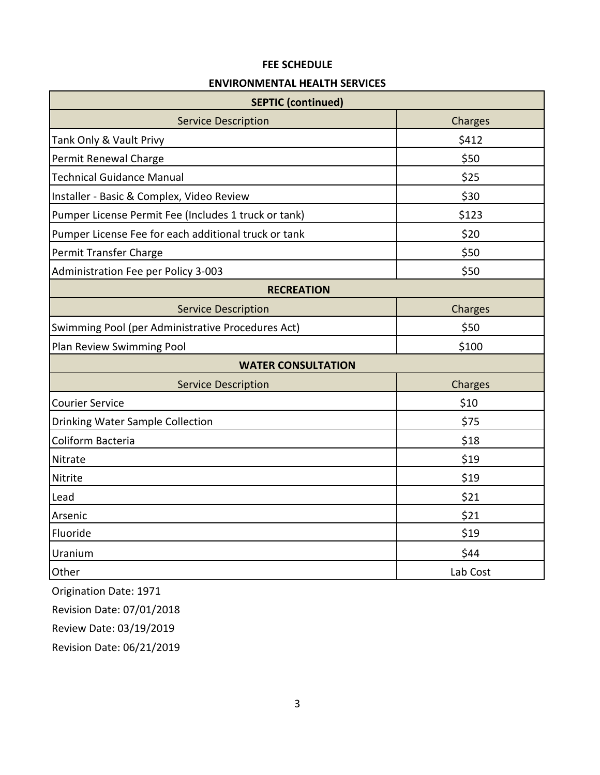#### **ENVIRONMENTAL HEALTH SERVICES**

| <b>SEPTIC (continued)</b>                            |          |  |  |  |
|------------------------------------------------------|----------|--|--|--|
| <b>Service Description</b>                           | Charges  |  |  |  |
| Tank Only & Vault Privy                              | \$412    |  |  |  |
| Permit Renewal Charge                                | \$50     |  |  |  |
| <b>Technical Guidance Manual</b>                     | \$25     |  |  |  |
| Installer - Basic & Complex, Video Review            | \$30     |  |  |  |
| Pumper License Permit Fee (Includes 1 truck or tank) | \$123    |  |  |  |
| Pumper License Fee for each additional truck or tank | \$20     |  |  |  |
| Permit Transfer Charge                               | \$50     |  |  |  |
| Administration Fee per Policy 3-003                  | \$50     |  |  |  |
| <b>RECREATION</b>                                    |          |  |  |  |
| <b>Service Description</b>                           | Charges  |  |  |  |
| Swimming Pool (per Administrative Procedures Act)    | \$50     |  |  |  |
| Plan Review Swimming Pool                            | \$100    |  |  |  |
| <b>WATER CONSULTATION</b>                            |          |  |  |  |
| <b>Service Description</b>                           | Charges  |  |  |  |
| <b>Courier Service</b>                               | \$10     |  |  |  |
| Drinking Water Sample Collection                     | \$75     |  |  |  |
| Coliform Bacteria                                    | \$18     |  |  |  |
| Nitrate                                              | \$19     |  |  |  |
| Nitrite                                              | \$19     |  |  |  |
| Lead                                                 | \$21     |  |  |  |
| Arsenic                                              | \$21     |  |  |  |
| Fluoride                                             | \$19     |  |  |  |
| Uranium                                              | \$44     |  |  |  |
| Other                                                | Lab Cost |  |  |  |

Origination Date: 1971

Revision Date: 07/01/2018

Review Date: 03/19/2019

Revision Date: 06/21/2019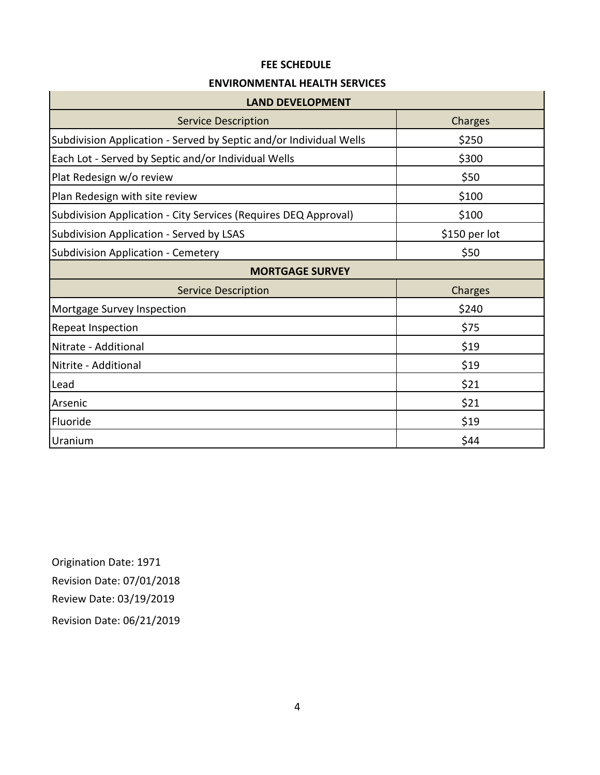#### **ENVIRONMENTAL HEALTH SERVICES**

| <b>LAND DEVELOPMENT</b>                                            |               |  |  |  |  |
|--------------------------------------------------------------------|---------------|--|--|--|--|
| <b>Service Description</b>                                         | Charges       |  |  |  |  |
| Subdivision Application - Served by Septic and/or Individual Wells | \$250         |  |  |  |  |
| Each Lot - Served by Septic and/or Individual Wells                | \$300         |  |  |  |  |
| Plat Redesign w/o review                                           | \$50          |  |  |  |  |
| Plan Redesign with site review                                     | \$100         |  |  |  |  |
| Subdivision Application - City Services (Requires DEQ Approval)    | \$100         |  |  |  |  |
| Subdivision Application - Served by LSAS                           | \$150 per lot |  |  |  |  |
| <b>Subdivision Application - Cemetery</b>                          | \$50          |  |  |  |  |
| <b>MORTGAGE SURVEY</b>                                             |               |  |  |  |  |
| <b>Service Description</b>                                         | Charges       |  |  |  |  |
| Mortgage Survey Inspection                                         | \$240         |  |  |  |  |
| Repeat Inspection                                                  | \$75          |  |  |  |  |
| Nitrate - Additional                                               | \$19          |  |  |  |  |
| Nitrite - Additional                                               | \$19          |  |  |  |  |
| Lead                                                               | \$21          |  |  |  |  |
| Arsenic                                                            | \$21          |  |  |  |  |
| Fluoride                                                           | \$19          |  |  |  |  |
| Uranium                                                            | \$44          |  |  |  |  |

Origination Date: 1971 Revision Date: 07/01/2018 Review Date: 03/19/2019 Revision Date: 06/21/2019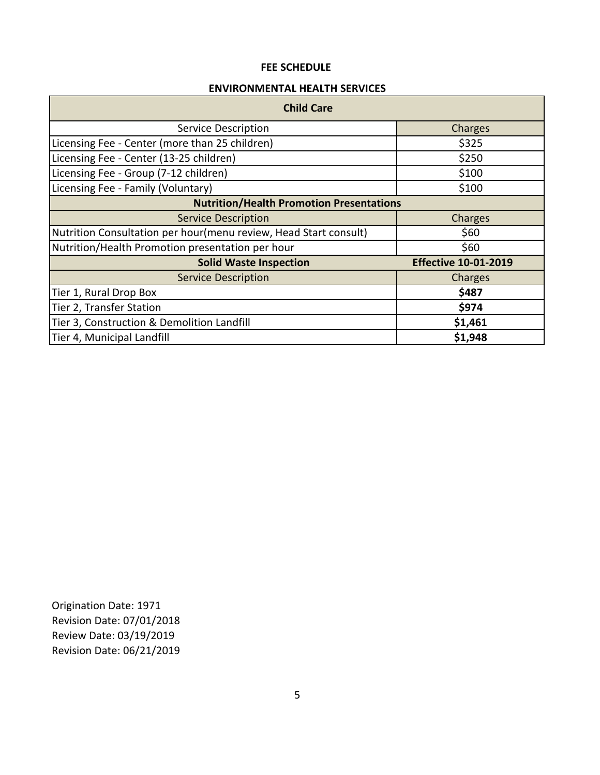#### **ENVIRONMENTAL HEALTH SERVICES**

| <b>Child Care</b>                                                |                             |  |  |  |
|------------------------------------------------------------------|-----------------------------|--|--|--|
| <b>Service Description</b>                                       | Charges                     |  |  |  |
| Licensing Fee - Center (more than 25 children)                   | \$325                       |  |  |  |
| Licensing Fee - Center (13-25 children)                          | \$250                       |  |  |  |
| Licensing Fee - Group (7-12 children)                            | \$100                       |  |  |  |
| Licensing Fee - Family (Voluntary)                               | \$100                       |  |  |  |
| <b>Nutrition/Health Promotion Presentations</b>                  |                             |  |  |  |
| <b>Service Description</b>                                       | Charges                     |  |  |  |
| Nutrition Consultation per hour(menu review, Head Start consult) | \$60                        |  |  |  |
| Nutrition/Health Promotion presentation per hour                 | \$60                        |  |  |  |
| <b>Solid Waste Inspection</b>                                    | <b>Effective 10-01-2019</b> |  |  |  |
| <b>Service Description</b>                                       | Charges                     |  |  |  |
| Tier 1, Rural Drop Box                                           | \$487                       |  |  |  |
| Tier 2, Transfer Station                                         | \$974                       |  |  |  |
| Tier 3, Construction & Demolition Landfill                       | \$1,461                     |  |  |  |
| Tier 4, Municipal Landfill                                       | \$1,948                     |  |  |  |

Origination Date: 1971 Revision Date: 07/01/2018 Review Date: 03/19/2019 Revision Date: 06/21/2019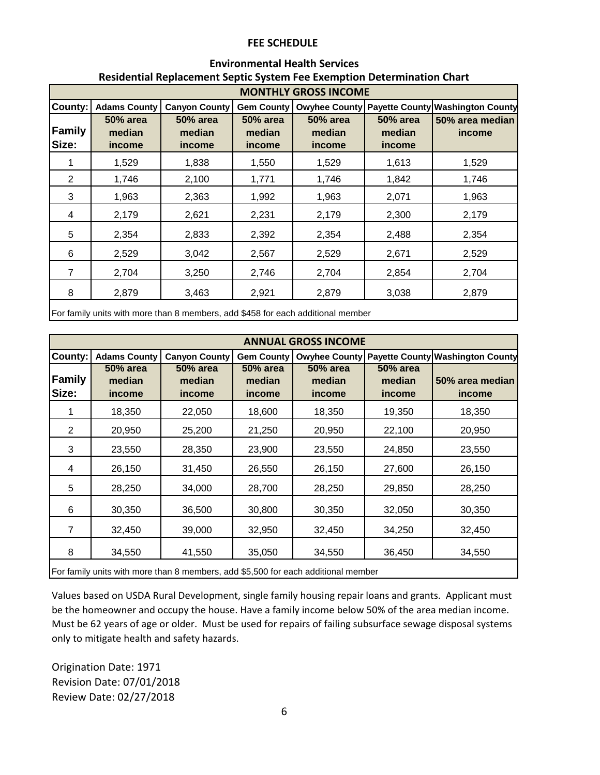### **Environmental Health Services Residential Replacement Septic System Fee Exemption Determination Chart**

|                        | <b>MONTHLY GROSS INCOME</b>         |                                     |                                     |                                     |                                     |                                                |
|------------------------|-------------------------------------|-------------------------------------|-------------------------------------|-------------------------------------|-------------------------------------|------------------------------------------------|
| County:                | <b>Adams County</b>                 | <b>Canyon County</b>                | <b>Gem County</b>                   |                                     |                                     | Owyhee County Payette County Washington County |
| <b>Family</b><br>Size: | <b>50% area</b><br>median<br>income | <b>50% area</b><br>median<br>income | <b>50% area</b><br>median<br>income | <b>50% area</b><br>median<br>income | <b>50% area</b><br>median<br>income | 50% area median<br>income                      |
| 1                      | 1,529                               | 1,838                               | 1,550                               | 1,529                               | 1,613                               | 1,529                                          |
| 2                      | 1,746                               | 2,100                               | 1,771                               | 1,746                               | 1,842                               | 1,746                                          |
| 3                      | 1,963                               | 2,363                               | 1,992                               | 1,963                               | 2,071                               | 1,963                                          |
| 4                      | 2,179                               | 2,621                               | 2,231                               | 2,179                               | 2,300                               | 2,179                                          |
| 5                      | 2,354                               | 2,833                               | 2,392                               | 2,354                               | 2,488                               | 2,354                                          |
| 6                      | 2,529                               | 3,042                               | 2,567                               | 2,529                               | 2,671                               | 2,529                                          |
| 7                      | 2,704                               | 3,250                               | 2,746                               | 2,704                               | 2,854                               | 2,704                                          |
| 8                      | 2,879                               | 3,463                               | 2,921                               | 2,879                               | 3,038                               | 2,879                                          |
|                        |                                     |                                     |                                     |                                     |                                     |                                                |

For family units with more than 8 members, add \$458 for each additional member

|                 | <b>ANNUAL GROSS INCOME</b>                                                        |                                     |                                     |                              |                                     |                                  |
|-----------------|-----------------------------------------------------------------------------------|-------------------------------------|-------------------------------------|------------------------------|-------------------------------------|----------------------------------|
| <b>County:</b>  | <b>Adams County</b>                                                               | <b>Canyon County</b>                | Gem County                          | <b>Owyhee County</b>         |                                     | Payette County Washington County |
| Family<br>Size: | <b>50% area</b><br>median<br>income                                               | <b>50% area</b><br>median<br>income | <b>50% area</b><br>median<br>income | 50% area<br>median<br>income | <b>50% area</b><br>median<br>income | 50% area median<br>income        |
|                 | 18,350                                                                            | 22,050                              | 18,600                              | 18,350                       | 19,350                              | 18,350                           |
| 2               | 20,950                                                                            | 25,200                              | 21,250                              | 20,950                       | 22,100                              | 20,950                           |
| 3               | 23,550                                                                            | 28,350                              | 23,900                              | 23,550                       | 24,850                              | 23,550                           |
| 4               | 26,150                                                                            | 31,450                              | 26,550                              | 26,150                       | 27,600                              | 26,150                           |
| 5               | 28,250                                                                            | 34,000                              | 28,700                              | 28,250                       | 29,850                              | 28,250                           |
| 6               | 30,350                                                                            | 36,500                              | 30,800                              | 30,350                       | 32,050                              | 30,350                           |
| 7               | 32,450                                                                            | 39,000                              | 32,950                              | 32,450                       | 34,250                              | 32,450                           |
| 8               | 34,550                                                                            | 41,550                              | 35,050                              | 34,550                       | 36,450                              | 34,550                           |
|                 | For family units with more than 8 members, add \$5,500 for each additional member |                                     |                                     |                              |                                     |                                  |

Values based on USDA Rural Development, single family housing repair loans and grants. Applicant must be the homeowner and occupy the house. Have a family income below 50% of the area median income. Must be 62 years of age or older. Must be used for repairs of failing subsurface sewage disposal systems only to mitigate health and safety hazards.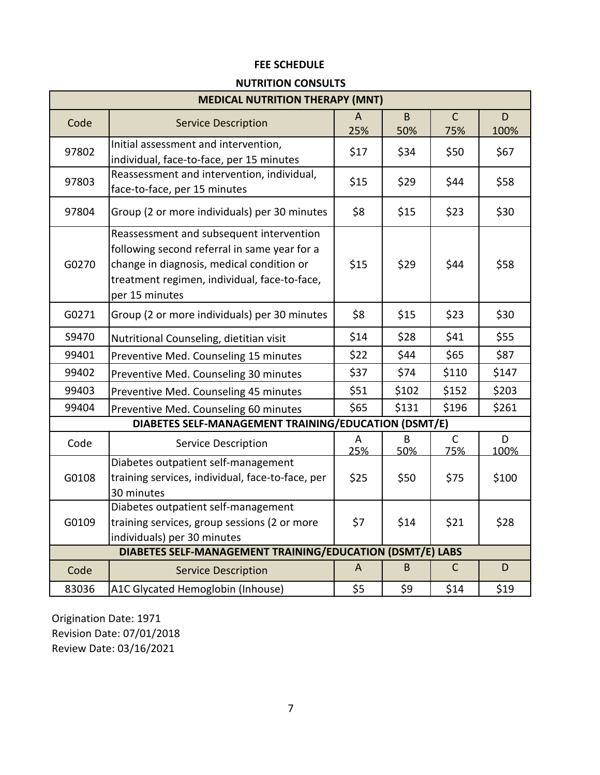## **NUTRITION CONSULTS**

| <b>MEDICAL NUTRITION THERAPY (MNT)</b> |                                                                                                                                                                                                         |          |                |                     |             |
|----------------------------------------|---------------------------------------------------------------------------------------------------------------------------------------------------------------------------------------------------------|----------|----------------|---------------------|-------------|
| Code                                   | <b>Service Description</b>                                                                                                                                                                              | A<br>25% | $\sf B$<br>50% | $\mathsf{C}$<br>75% | D<br>100%   |
| 97802                                  | Initial assessment and intervention,<br>individual, face-to-face, per 15 minutes                                                                                                                        | \$17     | \$34           | \$50                | \$67        |
| 97803                                  | Reassessment and intervention, individual,<br>face-to-face, per 15 minutes                                                                                                                              | \$15     | \$29           | \$44                | \$58        |
| 97804                                  | Group (2 or more individuals) per 30 minutes                                                                                                                                                            | \$8      | \$15           | \$23                | \$30        |
| G0270                                  | Reassessment and subsequent intervention<br>following second referral in same year for a<br>change in diagnosis, medical condition or<br>treatment regimen, individual, face-to-face,<br>per 15 minutes | \$15     | \$29           | \$44                | \$58        |
| G0271                                  | Group (2 or more individuals) per 30 minutes                                                                                                                                                            | \$8      | \$15           | \$23                | \$30        |
| S9470                                  | Nutritional Counseling, dietitian visit                                                                                                                                                                 | \$14     | \$28           | \$41                | \$55        |
| 99401                                  | Preventive Med. Counseling 15 minutes                                                                                                                                                                   | \$22     | \$44           | \$65                | \$87        |
| 99402                                  | Preventive Med. Counseling 30 minutes                                                                                                                                                                   | \$37     | \$74           | \$110               | \$147       |
| 99403                                  | Preventive Med. Counseling 45 minutes                                                                                                                                                                   | \$51     | \$102          | \$152               | \$203       |
| 99404                                  | Preventive Med. Counseling 60 minutes                                                                                                                                                                   | \$65     | \$131          | \$196               | \$261       |
|                                        | DIABETES SELF-MANAGEMENT TRAINING/EDUCATION (DSMT/E)                                                                                                                                                    |          |                |                     |             |
| Code                                   | Service Description                                                                                                                                                                                     | A<br>25% | B<br>50%       | $\mathsf{C}$<br>75% | D<br>100%   |
| G0108                                  | Diabetes outpatient self-management<br>training services, individual, face-to-face, per<br>30 minutes                                                                                                   | \$25     | \$50           | \$75                | \$100       |
| G0109                                  | Diabetes outpatient self-management<br>training services, group sessions (2 or more<br>individuals) per 30 minutes                                                                                      | \$7      | \$14           | \$21                | \$28        |
|                                        | DIABETES SELF-MANAGEMENT TRAINING/EDUCATION (DSMT/E) LABS                                                                                                                                               |          |                |                     |             |
| Code                                   | <b>Service Description</b>                                                                                                                                                                              | A        | B              | $\mathsf{C}$        | $\mathsf D$ |
| 83036                                  | A1C Glycated Hemoglobin (Inhouse)                                                                                                                                                                       | \$5      | \$9            | \$14                | \$19        |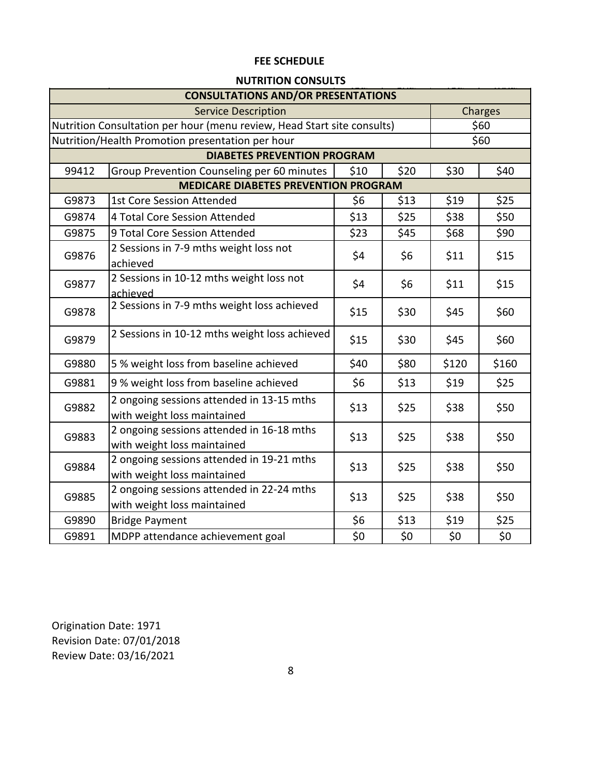# **NUTRITION CONSULTS**

| <b>CONSULTATIONS AND/OR PRESENTATIONS</b>                               |                                                                          |      |      |       |       |  |
|-------------------------------------------------------------------------|--------------------------------------------------------------------------|------|------|-------|-------|--|
| <b>Service Description</b><br>Charges                                   |                                                                          |      |      |       |       |  |
| Nutrition Consultation per hour (menu review, Head Start site consults) |                                                                          | \$60 |      |       |       |  |
|                                                                         | Nutrition/Health Promotion presentation per hour                         |      |      |       | \$60  |  |
|                                                                         | <b>DIABETES PREVENTION PROGRAM</b>                                       |      |      |       |       |  |
| 99412                                                                   | Group Prevention Counseling per 60 minutes                               | \$10 | \$20 | \$30  | \$40  |  |
|                                                                         | <b>MEDICARE DIABETES PREVENTION PROGRAM</b>                              |      |      |       |       |  |
| G9873                                                                   | <b>1st Core Session Attended</b>                                         | \$6  | \$13 | \$19  | \$25  |  |
| G9874                                                                   | 4 Total Core Session Attended                                            | \$13 | \$25 | \$38  | \$50  |  |
| G9875                                                                   | 9 Total Core Session Attended                                            | \$23 | \$45 | \$68  | \$90  |  |
| G9876                                                                   | 2 Sessions in 7-9 mths weight loss not<br>achieved                       | \$4  | \$6  | \$11  | \$15  |  |
| G9877                                                                   | 2 Sessions in 10-12 mths weight loss not<br>achieved                     | \$4  | \$6  | \$11  | \$15  |  |
| G9878                                                                   | 2 Sessions in 7-9 mths weight loss achieved                              | \$15 | \$30 | \$45  | \$60  |  |
| G9879                                                                   | 2 Sessions in 10-12 mths weight loss achieved                            | \$15 | \$30 | \$45  | \$60  |  |
| G9880                                                                   | 5 % weight loss from baseline achieved                                   | \$40 | \$80 | \$120 | \$160 |  |
| G9881                                                                   | 9 % weight loss from baseline achieved                                   | \$6  | \$13 | \$19  | \$25  |  |
| G9882                                                                   | 2 ongoing sessions attended in 13-15 mths<br>with weight loss maintained | \$13 | \$25 | \$38  | \$50  |  |
| G9883                                                                   | 2 ongoing sessions attended in 16-18 mths<br>with weight loss maintained | \$13 | \$25 | \$38  | \$50  |  |
| G9884                                                                   | 2 ongoing sessions attended in 19-21 mths<br>with weight loss maintained | \$13 | \$25 | \$38  | \$50  |  |
| G9885                                                                   | 2 ongoing sessions attended in 22-24 mths<br>with weight loss maintained | \$13 | \$25 | \$38  | \$50  |  |
| G9890                                                                   | <b>Bridge Payment</b>                                                    | \$6  | \$13 | \$19  | \$25  |  |
| G9891                                                                   | MDPP attendance achievement goal                                         | \$0  | \$0  | \$0   | \$0   |  |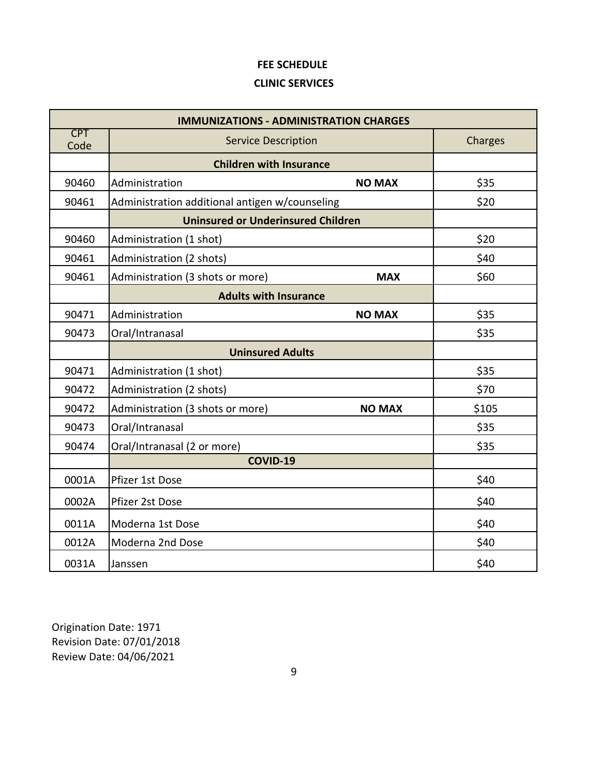# **CLINIC SERVICES**

| <b>IMMUNIZATIONS - ADMINISTRATION CHARGES</b> |                                                   |         |  |  |
|-----------------------------------------------|---------------------------------------------------|---------|--|--|
| <b>CPT</b><br>Code                            | <b>Service Description</b>                        | Charges |  |  |
|                                               | <b>Children with Insurance</b>                    |         |  |  |
| 90460                                         | Administration<br><b>NO MAX</b>                   | \$35    |  |  |
| 90461                                         | Administration additional antigen w/counseling    | \$20    |  |  |
|                                               | <b>Uninsured or Underinsured Children</b>         |         |  |  |
| 90460                                         | Administration (1 shot)                           | \$20    |  |  |
| 90461                                         | Administration (2 shots)                          | \$40    |  |  |
| 90461                                         | Administration (3 shots or more)<br><b>MAX</b>    | \$60    |  |  |
|                                               | <b>Adults with Insurance</b>                      |         |  |  |
| 90471                                         | Administration<br><b>NO MAX</b>                   | \$35    |  |  |
| 90473                                         | Oral/Intranasal                                   | \$35    |  |  |
|                                               | <b>Uninsured Adults</b>                           |         |  |  |
| 90471                                         | Administration (1 shot)                           | \$35    |  |  |
| 90472                                         | Administration (2 shots)                          | \$70    |  |  |
| 90472                                         | Administration (3 shots or more)<br><b>NO MAX</b> | \$105   |  |  |
| 90473                                         | Oral/Intranasal                                   | \$35    |  |  |
| 90474                                         | Oral/Intranasal (2 or more)                       | \$35    |  |  |
|                                               | <b>COVID-19</b>                                   |         |  |  |
| 0001A                                         | Pfizer 1st Dose                                   | \$40    |  |  |
| 0002A                                         | Pfizer 2st Dose                                   | \$40    |  |  |
| 0011A                                         | Moderna 1st Dose                                  | \$40    |  |  |
| 0012A                                         | Moderna 2nd Dose                                  | \$40    |  |  |
| 0031A                                         | Janssen                                           | \$40    |  |  |

Origination Date: 1971 Review Date: 04/06/2021 Revision Date: 07/01/2018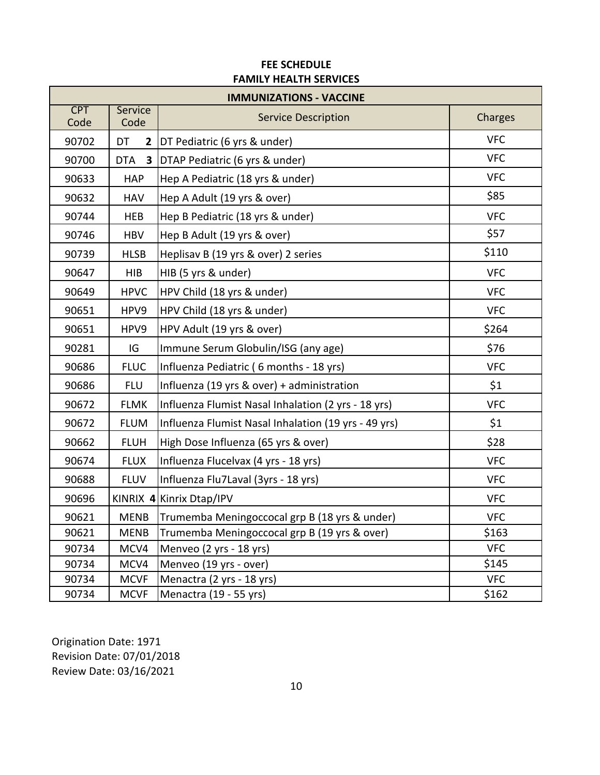| <b>IMMUNIZATIONS - VACCINE</b> |                    |                                                      |            |  |
|--------------------------------|--------------------|------------------------------------------------------|------------|--|
| <b>CPT</b><br>Code             | Service<br>Code    | <b>Service Description</b>                           | Charges    |  |
| 90702                          | DT<br>$\mathbf{2}$ | DT Pediatric (6 yrs & under)                         | <b>VFC</b> |  |
| 90700                          | <b>DTA</b>         | 3   DTAP Pediatric (6 yrs & under)                   | <b>VFC</b> |  |
| 90633                          | <b>HAP</b>         | Hep A Pediatric (18 yrs & under)                     | <b>VFC</b> |  |
| 90632                          | <b>HAV</b>         | Hep A Adult (19 yrs & over)                          | \$85       |  |
| 90744                          | <b>HEB</b>         | Hep B Pediatric (18 yrs & under)                     | <b>VFC</b> |  |
| 90746                          | <b>HBV</b>         | Hep B Adult (19 yrs & over)                          | \$57       |  |
| 90739                          | <b>HLSB</b>        | Heplisav B (19 yrs & over) 2 series                  | \$110      |  |
| 90647                          | <b>HIB</b>         | HIB (5 yrs & under)                                  | <b>VFC</b> |  |
| 90649                          | <b>HPVC</b>        | HPV Child (18 yrs & under)                           | <b>VFC</b> |  |
| 90651                          | HPV9               | HPV Child (18 yrs & under)                           | <b>VFC</b> |  |
| 90651                          | HPV9               | HPV Adult (19 yrs & over)                            | \$264      |  |
| 90281                          | IG                 | Immune Serum Globulin/ISG (any age)                  | \$76       |  |
| 90686                          | <b>FLUC</b>        | Influenza Pediatric (6 months - 18 yrs)              | <b>VFC</b> |  |
| 90686                          | <b>FLU</b>         | Influenza (19 yrs & over) + administration           | \$1        |  |
| 90672                          | <b>FLMK</b>        | Influenza Flumist Nasal Inhalation (2 yrs - 18 yrs)  | <b>VFC</b> |  |
| 90672                          | <b>FLUM</b>        | Influenza Flumist Nasal Inhalation (19 yrs - 49 yrs) | \$1        |  |
| 90662                          | <b>FLUH</b>        | High Dose Influenza (65 yrs & over)                  | \$28       |  |
| 90674                          | <b>FLUX</b>        | Influenza Flucelvax (4 yrs - 18 yrs)                 | <b>VFC</b> |  |
| 90688                          | <b>FLUV</b>        | Influenza Flu7Laval (3yrs - 18 yrs)                  | <b>VFC</b> |  |
| 90696                          |                    | KINRIX 4 Kinrix Dtap/IPV                             | <b>VFC</b> |  |
| 90621                          | <b>MENB</b>        | Trumemba Meningoccocal grp B (18 yrs & under)        | <b>VFC</b> |  |
| 90621                          | <b>MENB</b>        | Trumemba Meningoccocal grp B (19 yrs & over)         | \$163      |  |
| 90734                          | MCV4               | Menveo (2 yrs - 18 yrs)                              | <b>VFC</b> |  |
| 90734                          | MCV4               | Menveo (19 yrs - over)                               | \$145      |  |
| 90734                          | <b>MCVF</b>        | Menactra (2 yrs - 18 yrs)                            | <b>VFC</b> |  |
| 90734                          | <b>MCVF</b>        | Menactra (19 - 55 yrs)                               | \$162      |  |

## **FEE SCHEDULE FAMILY HEALTH SERVICES**

Origination Date: 1971 Review Date: 03/16/2021 Revision Date: 07/01/2018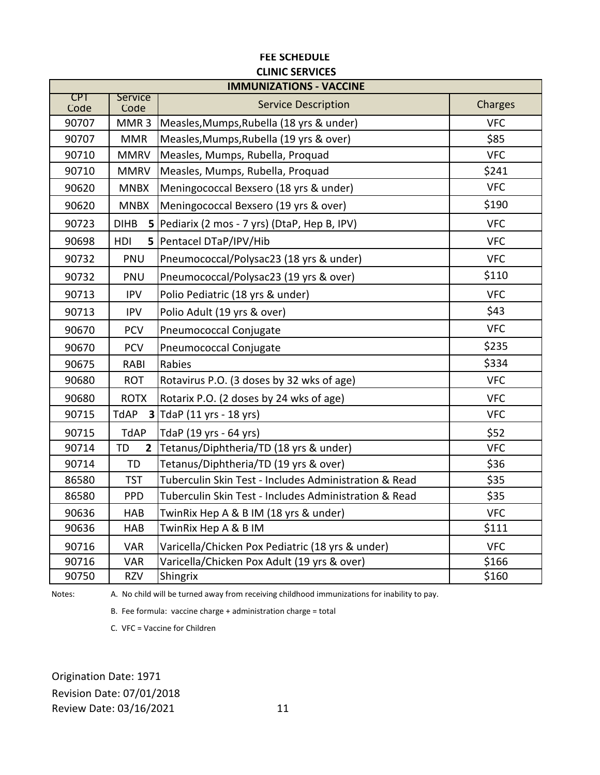| <b>IMMUNIZATIONS - VACCINE</b> |                             |                                                       |            |
|--------------------------------|-----------------------------|-------------------------------------------------------|------------|
| CPT<br>Code                    | <b>Service</b><br>Code      | <b>Service Description</b>                            | Charges    |
| 90707                          | MMR <sub>3</sub>            | Measles, Mumps, Rubella (18 yrs & under)              | <b>VFC</b> |
| 90707                          | <b>MMR</b>                  | Measles, Mumps, Rubella (19 yrs & over)               | \$85       |
| 90710                          | <b>MMRV</b>                 | Measles, Mumps, Rubella, Proquad                      | <b>VFC</b> |
| 90710                          | <b>MMRV</b>                 | Measles, Mumps, Rubella, Proquad                      | \$241      |
| 90620                          | <b>MNBX</b>                 | Meningococcal Bexsero (18 yrs & under)                | <b>VFC</b> |
| 90620                          | <b>MNBX</b>                 | Meningococcal Bexsero (19 yrs & over)                 | \$190      |
| 90723                          | <b>DIHB</b>                 | 5   Pediarix (2 mos - 7 yrs) (DtaP, Hep B, IPV)       | <b>VFC</b> |
| 90698                          | HDI<br>5                    | Pentacel DTaP/IPV/Hib                                 | <b>VFC</b> |
| 90732                          | PNU                         | Pneumococcal/Polysac23 (18 yrs & under)               | <b>VFC</b> |
| 90732                          | PNU                         | Pneumococcal/Polysac23 (19 yrs & over)                | \$110      |
| 90713                          | <b>IPV</b>                  | Polio Pediatric (18 yrs & under)                      | <b>VFC</b> |
| 90713                          | <b>IPV</b>                  | Polio Adult (19 yrs & over)                           | \$43       |
| 90670                          | <b>PCV</b>                  | Pneumococcal Conjugate                                | <b>VFC</b> |
| 90670                          | <b>PCV</b>                  | Pneumococcal Conjugate                                | \$235      |
| 90675                          | RABI                        | Rabies                                                | \$334      |
| 90680                          | <b>ROT</b>                  | Rotavirus P.O. (3 doses by 32 wks of age)             | <b>VFC</b> |
| 90680                          | <b>ROTX</b>                 | Rotarix P.O. (2 doses by 24 wks of age)               | <b>VFC</b> |
| 90715                          | TdAP                        | 3 TdaP (11 yrs - 18 yrs)                              | <b>VFC</b> |
| 90715                          | <b>TdAP</b>                 | TdaP (19 yrs - 64 yrs)                                | \$52       |
| 90714                          | <b>TD</b><br>$\overline{2}$ | Tetanus/Diphtheria/TD (18 yrs & under)                | <b>VFC</b> |
| 90714                          | <b>TD</b>                   | Tetanus/Diphtheria/TD (19 yrs & over)                 | \$36       |
| 86580                          | <b>TST</b>                  | Tuberculin Skin Test - Includes Administration & Read | \$35       |
| 86580                          | <b>PPD</b>                  | Tuberculin Skin Test - Includes Administration & Read | \$35       |
| 90636                          | <b>HAB</b>                  | TwinRix Hep A & B IM (18 yrs & under)                 | <b>VFC</b> |
| 90636                          | HAB                         | TwinRix Hep A & B IM                                  | \$111      |
| 90716                          | <b>VAR</b>                  | Varicella/Chicken Pox Pediatric (18 yrs & under)      | <b>VFC</b> |
| 90716                          | <b>VAR</b>                  | Varicella/Chicken Pox Adult (19 yrs & over)           | \$166      |
| 90750                          | <b>RZV</b>                  | Shingrix                                              | \$160      |

Notes:

A. No child will be turned away from receiving childhood immunizations for inability to pay.

B. Fee formula: vaccine charge + administration charge = total

C. VFC = Vaccine for Children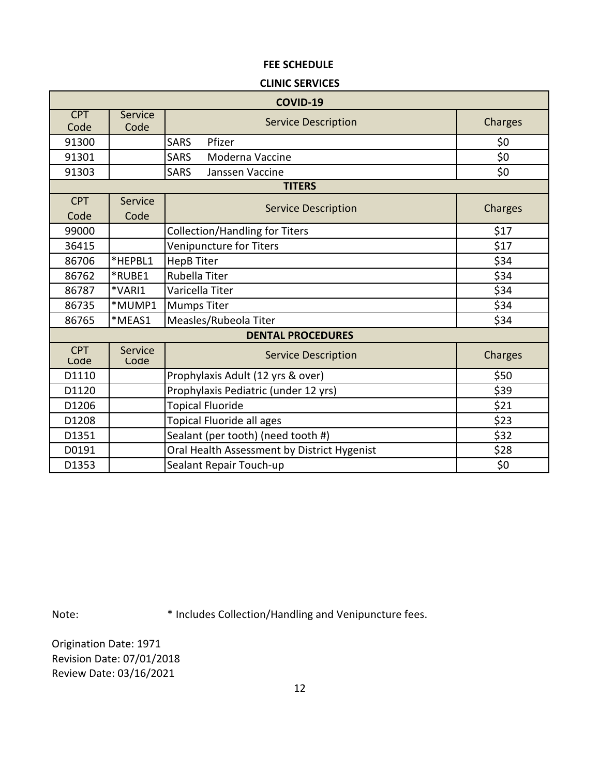#### **CLINIC SERVICES**

| COVID-19           |                 |                                             |         |  |  |
|--------------------|-----------------|---------------------------------------------|---------|--|--|
| <b>CPT</b><br>Code | Service<br>Code | <b>Service Description</b>                  | Charges |  |  |
| 91300              |                 | Pfizer<br><b>SARS</b>                       | \$0     |  |  |
| 91301              |                 | <b>SARS</b><br>Moderna Vaccine              | \$0     |  |  |
| 91303              |                 | <b>SARS</b><br>Janssen Vaccine              | \$0     |  |  |
|                    |                 | <b>TITERS</b>                               |         |  |  |
| <b>CPT</b>         | Service         | <b>Service Description</b>                  | Charges |  |  |
| Code               | Code            |                                             |         |  |  |
| 99000              |                 | <b>Collection/Handling for Titers</b>       | \$17    |  |  |
| 36415              |                 | Venipuncture for Titers                     | \$17    |  |  |
| 86706              | *HEPBL1         | <b>HepB Titer</b>                           | \$34    |  |  |
| 86762              | *RUBE1          | Rubella Titer                               | \$34    |  |  |
| 86787              | *VARI1          | Varicella Titer                             | \$34    |  |  |
| 86735              | *MUMP1          | <b>Mumps Titer</b>                          | \$34    |  |  |
| 86765              | *MEAS1          | Measles/Rubeola Titer                       | \$34    |  |  |
|                    |                 | <b>DENTAL PROCEDURES</b>                    |         |  |  |
| <b>CPT</b><br>Code | Service<br>Code | <b>Service Description</b>                  | Charges |  |  |
| D1110              |                 | Prophylaxis Adult (12 yrs & over)           | \$50    |  |  |
| D1120              |                 | Prophylaxis Pediatric (under 12 yrs)        | \$39    |  |  |
| D1206              |                 | <b>Topical Fluoride</b>                     | \$21    |  |  |
| D1208              |                 | <b>Topical Fluoride all ages</b>            | \$23    |  |  |
| D1351              |                 | Sealant (per tooth) (need tooth #)          | \$32    |  |  |
| D0191              |                 | Oral Health Assessment by District Hygenist | \$28    |  |  |
| D1353              |                 | Sealant Repair Touch-up                     | \$0     |  |  |

Note: \* Includes Collection/Handling and Venipuncture fees.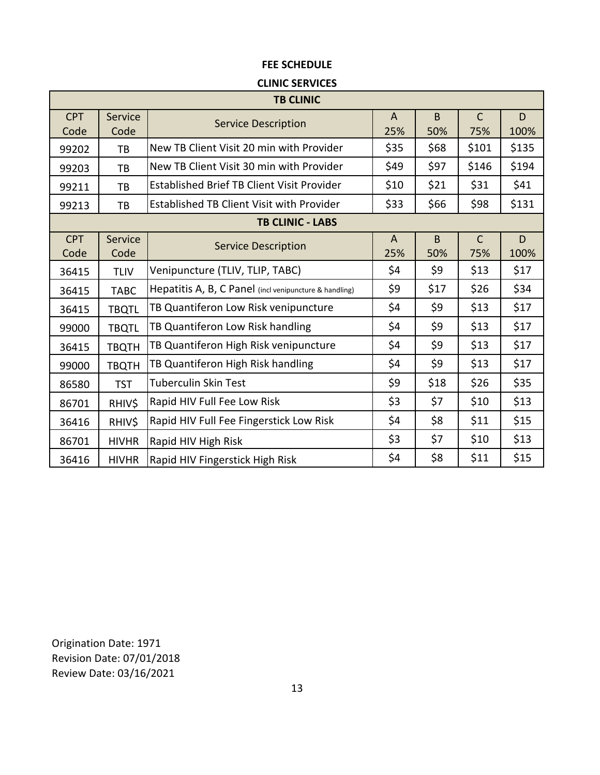### **CLINIC SERVICES**

|                    | <b>TB CLINIC</b> |                                                        |                     |          |                     |           |  |
|--------------------|------------------|--------------------------------------------------------|---------------------|----------|---------------------|-----------|--|
| <b>CPT</b><br>Code | Service<br>Code  | <b>Service Description</b>                             | $\mathsf{A}$<br>25% | B<br>50% | $\mathsf{C}$<br>75% | D<br>100% |  |
| 99202              | TB               | New TB Client Visit 20 min with Provider               | \$35                | \$68     | \$101               | \$135     |  |
| 99203              | TB               | New TB Client Visit 30 min with Provider               | \$49                | \$97     | \$146               | \$194     |  |
| 99211              | TB               | <b>Established Brief TB Client Visit Provider</b>      | \$10                | \$21     | \$31                | \$41      |  |
| 99213              | TB               | Established TB Client Visit with Provider              | \$33                | \$66     | \$98                | \$131     |  |
|                    |                  | <b>TB CLINIC - LABS</b>                                |                     |          |                     |           |  |
| <b>CPT</b><br>Code | Service<br>Code  | <b>Service Description</b>                             | $\mathsf{A}$<br>25% | B<br>50% | $\mathsf{C}$<br>75% | D<br>100% |  |
| 36415              | <b>TLIV</b>      | Venipuncture (TLIV, TLIP, TABC)                        | \$4                 | \$9      | \$13                | \$17      |  |
| 36415              | <b>TABC</b>      | Hepatitis A, B, C Panel (incl venipuncture & handling) | \$9                 | \$17     | \$26                | \$34      |  |
| 36415              | <b>TBQTL</b>     | TB Quantiferon Low Risk venipuncture                   | \$4                 | \$9      | \$13                | \$17      |  |
| 99000              | <b>TBQTL</b>     | TB Quantiferon Low Risk handling                       | \$4                 | \$9      | \$13                | \$17      |  |
| 36415              | <b>TBQTH</b>     | TB Quantiferon High Risk venipuncture                  | \$4                 | \$9      | \$13                | \$17      |  |
| 99000              | <b>TBQTH</b>     | TB Quantiferon High Risk handling                      | \$4                 | \$9      | \$13                | \$17      |  |
| 86580              | <b>TST</b>       | <b>Tuberculin Skin Test</b>                            | \$9                 | \$18     | \$26                | \$35      |  |
| 86701              | RHIV\$           | Rapid HIV Full Fee Low Risk                            | \$3                 | \$7      | \$10                | \$13      |  |
| 36416              | RHIV\$           | Rapid HIV Full Fee Fingerstick Low Risk                | \$4                 | \$8      | \$11                | \$15      |  |
| 86701              | <b>HIVHR</b>     | Rapid HIV High Risk                                    | \$3                 | \$7      | \$10                | \$13      |  |
| 36416              | <b>HIVHR</b>     | Rapid HIV Fingerstick High Risk                        | \$4                 | \$8      | \$11                | \$15      |  |

Revision Date: 07/01/2018 Review Date: 03/16/2021 Origination Date: 1971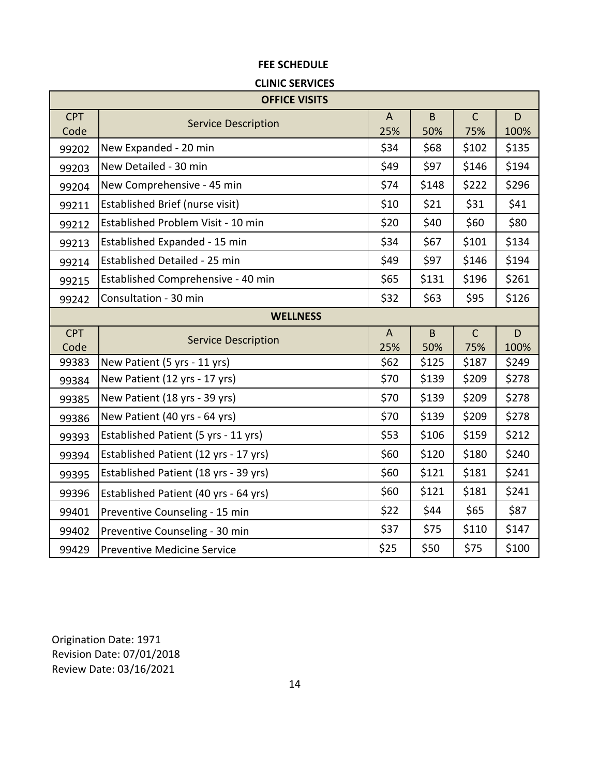### **CLINIC SERVICES**

|                    | <b>OFFICE VISITS</b>                  |                       |                |                     |           |  |  |
|--------------------|---------------------------------------|-----------------------|----------------|---------------------|-----------|--|--|
| <b>CPT</b><br>Code | <b>Service Description</b>            | $\mathsf{A}$<br>25%   | $\sf B$<br>50% | $\mathsf{C}$<br>75% | D<br>100% |  |  |
| 99202              | New Expanded - 20 min                 | \$34                  | \$68           | \$102               | \$135     |  |  |
| 99203              | New Detailed - 30 min                 | \$49                  | \$97           | \$146               | \$194     |  |  |
| 99204              | New Comprehensive - 45 min            | \$74                  | \$148          | \$222               | \$296     |  |  |
| 99211              | Established Brief (nurse visit)       | \$10                  | \$21           | \$31                | \$41      |  |  |
| 99212              | Established Problem Visit - 10 min    | \$20                  | \$40           | \$60                | \$80      |  |  |
| 99213              | Established Expanded - 15 min         | \$34                  | \$67           | \$101               | \$134     |  |  |
| 99214              | Established Detailed - 25 min         | \$49                  | \$97           | \$146               | \$194     |  |  |
| 99215              | Established Comprehensive - 40 min    | \$65                  | \$131          | \$196               | \$261     |  |  |
| 99242              | Consultation - 30 min                 | \$32                  | \$63           | \$95                | \$126     |  |  |
|                    | <b>WELLNESS</b>                       |                       |                |                     |           |  |  |
| <b>CPT</b><br>Code | <b>Service Description</b>            | $\overline{A}$<br>25% | B<br>50%       | $\mathsf{C}$<br>75% | D<br>100% |  |  |
| 99383              | New Patient (5 yrs - 11 yrs)          | \$62                  | \$125          | \$187               | \$249     |  |  |
| 99384              | New Patient (12 yrs - 17 yrs)         | \$70                  | \$139          | \$209               | \$278     |  |  |
| 99385              | New Patient (18 yrs - 39 yrs)         | \$70                  | \$139          | \$209               | \$278     |  |  |
| 99386              | New Patient (40 yrs - 64 yrs)         | \$70                  | \$139          | \$209               | \$278     |  |  |
| 99393              | Established Patient (5 yrs - 11 yrs)  | \$53                  | \$106          | \$159               | \$212     |  |  |
| 99394              | Established Patient (12 yrs - 17 yrs) | \$60                  | \$120          | \$180               | \$240     |  |  |
| 99395              | Established Patient (18 yrs - 39 yrs) | \$60                  | \$121          | \$181               | \$241     |  |  |
|                    |                                       |                       |                |                     |           |  |  |
| 99396              | Established Patient (40 yrs - 64 yrs) | \$60                  | \$121          | \$181               | \$241     |  |  |
| 99401              | Preventive Counseling - 15 min        | \$22                  | \$44           | \$65                | \$87      |  |  |
| 99402              | Preventive Counseling - 30 min        | \$37                  | \$75           | \$110               | \$147     |  |  |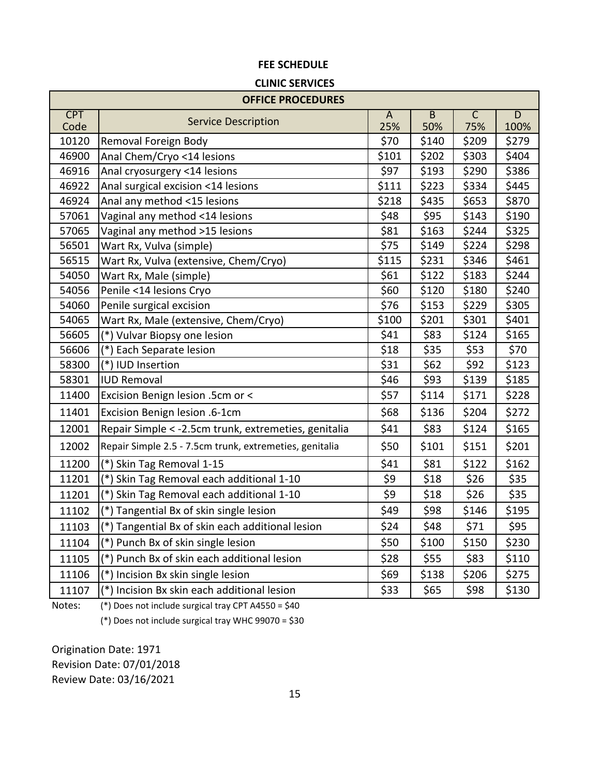#### **CLINIC SERVICES**

|                    | <b>OFFICE PROCEDURES</b>                                |                       |                       |                                |                                 |
|--------------------|---------------------------------------------------------|-----------------------|-----------------------|--------------------------------|---------------------------------|
| <b>CPT</b><br>Code | <b>Service Description</b>                              | $\overline{A}$<br>25% | $\overline{B}$<br>50% | $\overline{\mathsf{C}}$<br>75% | $\overline{\mathsf{D}}$<br>100% |
| 10120              | Removal Foreign Body                                    | \$70                  | \$140                 | \$209                          | \$279                           |
| 46900              | Anal Chem/Cryo <14 lesions                              | \$101                 | \$202                 | \$303                          | \$404                           |
| 46916              | Anal cryosurgery <14 lesions                            | \$97                  | \$193                 | \$290                          | \$386                           |
| 46922              | Anal surgical excision <14 lesions                      | \$111                 | \$223                 | \$334                          | \$445                           |
| 46924              | Anal any method <15 lesions                             | \$218                 | \$435                 | \$653                          | \$870                           |
| 57061              | Vaginal any method <14 lesions                          | \$48                  | \$95                  | \$143                          | \$190                           |
| 57065              | Vaginal any method >15 lesions                          | \$81                  | \$163                 | \$244                          | \$325                           |
| 56501              | Wart Rx, Vulva (simple)                                 | \$75                  | \$149                 | \$224                          | \$298                           |
| 56515              | Wart Rx, Vulva (extensive, Chem/Cryo)                   | \$115                 | \$231                 | \$346                          | \$461                           |
| 54050              | Wart Rx, Male (simple)                                  | \$61                  | \$122                 | \$183                          | \$244                           |
| 54056              | Penile <14 lesions Cryo                                 | \$60                  | \$120                 | \$180                          | \$240                           |
| 54060              | Penile surgical excision                                | \$76                  | \$153                 | \$229                          | \$305                           |
| 54065              | Wart Rx, Male (extensive, Chem/Cryo)                    | \$100                 | \$201                 | \$301                          | \$401                           |
| 56605              | (*) Vulvar Biopsy one lesion                            | \$41                  | \$83                  | \$124                          | \$165                           |
| 56606              | (*) Each Separate lesion                                | \$18                  | \$35                  | \$53                           | \$70                            |
| 58300              | (*) IUD Insertion                                       | \$31                  | \$62                  | \$92                           | \$123                           |
| 58301              | <b>IUD Removal</b>                                      | \$46                  | \$93                  | \$139                          | \$185                           |
| 11400              | Excision Benign lesion .5cm or <                        | \$57                  | \$114                 | \$171                          | \$228                           |
| 11401              | Excision Benign lesion .6-1cm                           | \$68                  | \$136                 | \$204                          | \$272                           |
| 12001              | Repair Simple < - 2.5cm trunk, extremeties, genitalia   | \$41                  | \$83                  | \$124                          | \$165                           |
| 12002              | Repair Simple 2.5 - 7.5cm trunk, extremeties, genitalia | \$50                  | \$101                 | \$151                          | \$201                           |
| 11200              | $(*)$<br>Skin Tag Removal 1-15                          | \$41                  | \$81                  | \$122                          | \$162                           |
| 11201              | Skin Tag Removal each additional 1-10                   | \$9                   | \$18                  | \$26                           | \$35                            |
| 11201              | (*) Skin Tag Removal each additional 1-10               | \$9                   | \$18                  | \$26                           | \$35                            |
| 11102              | (*) Tangential Bx of skin single lesion                 | \$49                  | \$98                  | \$146                          | \$195                           |
| 11103              | (*) Tangential Bx of skin each additional lesion        | \$24                  | \$48                  | \$71                           | \$95                            |
| 11104              | (*) Punch Bx of skin single lesion                      | \$50                  | \$100                 | \$150                          | \$230                           |
| 11105              | (*) Punch Bx of skin each additional lesion             | \$28                  | \$55                  | \$83                           | \$110                           |
| 11106              | (*) Incision Bx skin single lesion                      | \$69                  | \$138                 | \$206                          | \$275                           |
| 11107              | (*) Incision Bx skin each additional lesion             | \$33                  | \$65                  | \$98                           | \$130                           |

Notes:

(\*) Does not include surgical tray CPT A4550 = \$40

(\*) Does not include surgical tray WHC 99070 = \$30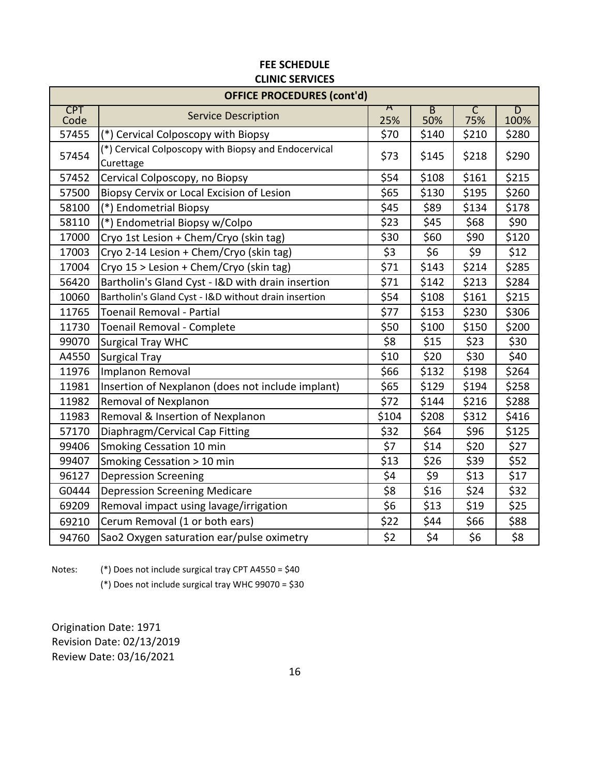|                    | <b>OFFICE PROCEDURES (cont'd)</b>                                 |                          |                       |          |                                 |  |
|--------------------|-------------------------------------------------------------------|--------------------------|-----------------------|----------|---------------------------------|--|
| <b>CPT</b><br>Code | <b>Service Description</b>                                        | $\bm{\mathsf{A}}$<br>25% | $\overline{B}$<br>50% | C<br>75% | $\overline{\mathsf{D}}$<br>100% |  |
| 57455              | (*) Cervical Colposcopy with Biopsy                               | \$70                     | \$140                 | \$210    | \$280                           |  |
| 57454              | (*) Cervical Colposcopy with Biopsy and Endocervical<br>Curettage | \$73                     | \$145                 | \$218    | \$290                           |  |
| 57452              | Cervical Colposcopy, no Biopsy                                    | \$54                     | \$108                 | \$161    | \$215                           |  |
| 57500              | Biopsy Cervix or Local Excision of Lesion                         | \$65                     | \$130                 | \$195    | \$260                           |  |
| 58100              | (*) Endometrial Biopsy                                            | \$45                     | \$89                  | \$134    | \$178                           |  |
| 58110              | (*) Endometrial Biopsy w/Colpo                                    | \$23                     | \$45                  | \$68     | \$90                            |  |
| 17000              | Cryo 1st Lesion + Chem/Cryo (skin tag)                            | \$30                     | \$60                  | \$90     | \$120                           |  |
| 17003              | Cryo 2-14 Lesion + Chem/Cryo (skin tag)                           | \$3                      | \$6                   | \$9      | \$12                            |  |
| 17004              | Cryo 15 > Lesion + Chem/Cryo (skin tag)                           | \$71                     | \$143                 | \$214    | \$285                           |  |
| 56420              | Bartholin's Gland Cyst - I&D with drain insertion                 | \$71                     | \$142                 | \$213    | \$284                           |  |
| 10060              | Bartholin's Gland Cyst - I&D without drain insertion              | \$54                     | \$108                 | \$161    | \$215                           |  |
| 11765              | <b>Toenail Removal - Partial</b>                                  | \$77                     | \$153                 | \$230    | \$306                           |  |
| 11730              | Toenail Removal - Complete                                        | \$50                     | \$100                 | \$150    | \$200                           |  |
| 99070              | <b>Surgical Tray WHC</b>                                          | \$8                      | \$15                  | \$23     | \$30                            |  |
| A4550              | <b>Surgical Tray</b>                                              | \$10                     | \$20                  | \$30     | \$40                            |  |
| 11976              | Implanon Removal                                                  | \$66                     | \$132                 | \$198    | \$264                           |  |
| 11981              | Insertion of Nexplanon (does not include implant)                 | \$65                     | \$129                 | \$194    | \$258                           |  |
| 11982              | Removal of Nexplanon                                              | \$72                     | \$144                 | \$216    | \$288                           |  |
| 11983              | Removal & Insertion of Nexplanon                                  | \$104                    | \$208                 | \$312    | \$416                           |  |
| 57170              | Diaphragm/Cervical Cap Fitting                                    | \$32                     | \$64                  | \$96     | \$125                           |  |
| 99406              | Smoking Cessation 10 min                                          | \$7                      | \$14                  | \$20     | \$27                            |  |
| 99407              | Smoking Cessation > 10 min                                        | \$13                     | \$26                  | \$39     | \$52                            |  |
| 96127              | <b>Depression Screening</b>                                       | \$4                      | \$9                   | \$13     | \$17                            |  |
| G0444              | <b>Depression Screening Medicare</b>                              | \$8                      | \$16                  | \$24     | \$32                            |  |
| 69209              | Removal impact using lavage/irrigation                            | \$6                      | \$13                  | \$19     | \$25                            |  |
| 69210              | Cerum Removal (1 or both ears)                                    | \$22                     | \$44                  | \$66     | \$88                            |  |
| 94760              | Sao2 Oxygen saturation ear/pulse oximetry                         | \$2                      | \$4                   | \$6      | \$8                             |  |

Notes: (\*) Does not include surgical tray CPT A4550 = \$40

(\*) Does not include surgical tray WHC 99070 = \$30

Review Date: 03/16/2021 Revision Date: 02/13/2019 Origination Date: 1971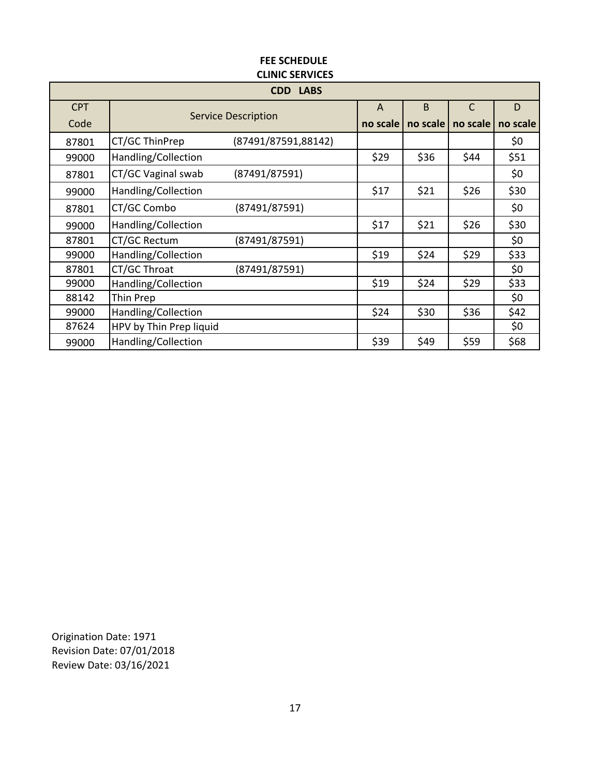| <b>CDD LABS</b> |                         |                            |          |          |              |          |  |  |
|-----------------|-------------------------|----------------------------|----------|----------|--------------|----------|--|--|
| <b>CPT</b>      |                         |                            |          | B        | $\mathsf{C}$ | D        |  |  |
| Code            |                         | <b>Service Description</b> | no scale | no scale | no scale     | no scale |  |  |
| 87801           | CT/GC ThinPrep          | (87491/87591,88142)        |          |          |              | \$0      |  |  |
| 99000           | Handling/Collection     |                            | \$29     | \$36     | \$44         | \$51     |  |  |
| 87801           | CT/GC Vaginal swab      | (87491/87591)              |          |          |              | \$0      |  |  |
| 99000           | Handling/Collection     |                            | \$17     | \$21     | \$26         | \$30     |  |  |
| 87801           | CT/GC Combo             | (87491/87591)              |          |          |              | \$0      |  |  |
| 99000           | Handling/Collection     |                            | \$17     | \$21     | \$26         | \$30     |  |  |
| 87801           | CT/GC Rectum            | (87491/87591)              |          |          |              | \$0      |  |  |
| 99000           | Handling/Collection     |                            | \$19     | \$24     | \$29         | \$33     |  |  |
| 87801           | CT/GC Throat            | (87491/87591)              |          |          |              | \$0      |  |  |
| 99000           | Handling/Collection     |                            | \$19     | \$24     | \$29         | \$33     |  |  |
| 88142           | Thin Prep               |                            |          |          |              | \$0      |  |  |
| 99000           | Handling/Collection     |                            | \$24     | \$30     | \$36         | \$42     |  |  |
| 87624           | HPV by Thin Prep liquid |                            |          |          |              | \$0      |  |  |
| 99000           | Handling/Collection     |                            | \$39     | \$49     | \$59         | \$68     |  |  |

Revision Date: 07/01/2018 Review Date: 03/16/2021 Origination Date: 1971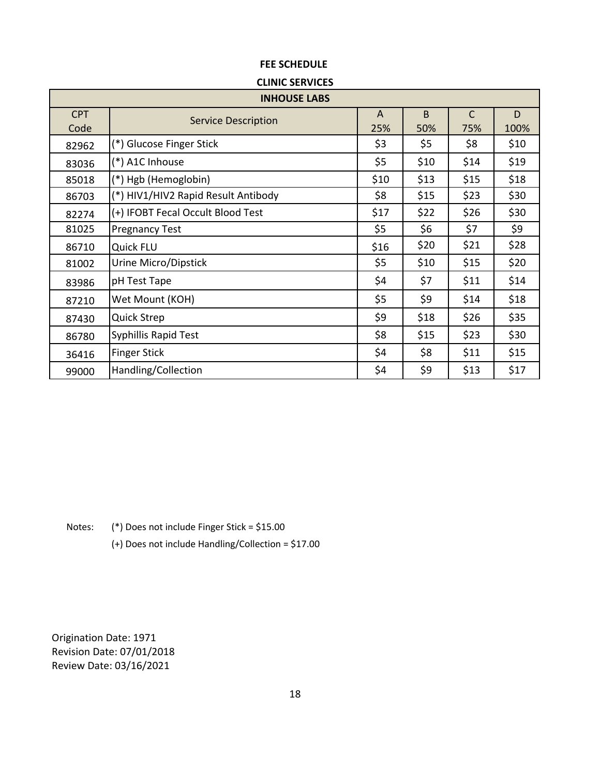#### **CLINIC SERVICES**

|                    | <b>INHOUSE LABS</b>                 |                     |                     |          |           |  |  |  |
|--------------------|-------------------------------------|---------------------|---------------------|----------|-----------|--|--|--|
| <b>CPT</b><br>Code | <b>Service Description</b>          | $\mathsf{A}$<br>25% | <sub>B</sub><br>50% | C<br>75% | D<br>100% |  |  |  |
| 82962              | (*) Glucose Finger Stick            | \$3                 | \$5                 | \$8      | \$10      |  |  |  |
| 83036              | (*) A1C Inhouse                     | \$5                 | \$10                | \$14     | \$19      |  |  |  |
| 85018              | (*) Hgb (Hemoglobin)                | \$10                | \$13                | \$15     | \$18      |  |  |  |
| 86703              | (*) HIV1/HIV2 Rapid Result Antibody | \$8                 | \$15                | \$23     | \$30      |  |  |  |
| 82274              | (+) IFOBT Fecal Occult Blood Test   | \$17                | \$22                | \$26     | \$30      |  |  |  |
| 81025              | <b>Pregnancy Test</b>               | \$5                 | \$6                 | \$7      | \$9       |  |  |  |
| 86710              | Quick FLU                           | \$16                | \$20                | \$21     | \$28      |  |  |  |
| 81002              | Urine Micro/Dipstick                | \$5                 | \$10                | \$15     | \$20      |  |  |  |
| 83986              | pH Test Tape                        | \$4                 | \$7                 | \$11     | \$14      |  |  |  |
| 87210              | Wet Mount (KOH)                     | \$5                 | \$9                 | \$14     | \$18      |  |  |  |
| 87430              | Quick Strep                         | \$9                 | \$18                | \$26     | \$35      |  |  |  |
| 86780              | Syphillis Rapid Test                | \$8                 | \$15                | \$23     | \$30      |  |  |  |
| 36416              | <b>Finger Stick</b>                 | \$4                 | \$8                 | \$11     | \$15      |  |  |  |
| 99000              | Handling/Collection                 | \$4                 | \$9                 | \$13     | \$17      |  |  |  |

Notes: (\*) Does not include Finger Stick = \$15.00

(+) Does not include Handling/Collection = \$17.00

Revision Date: 07/01/2018 Review Date: 03/16/2021 Origination Date: 1971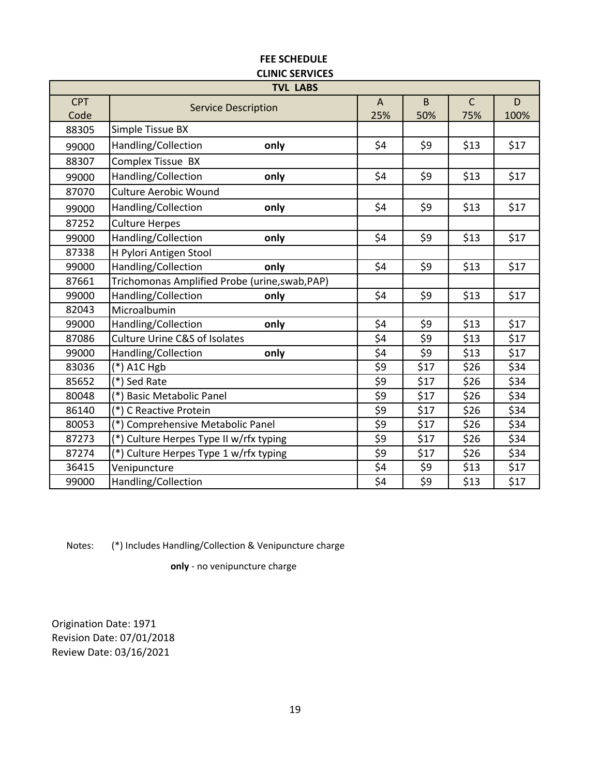| CLIIVIL JENVILEJ<br><b>TVL LABS</b> |                                                |                |      |              |       |  |  |
|-------------------------------------|------------------------------------------------|----------------|------|--------------|-------|--|--|
| <b>CPT</b>                          |                                                | $\overline{A}$ | B    | $\mathsf{C}$ | D     |  |  |
| Code                                | <b>Service Description</b>                     | 25%            | 50%  | 75%          | 100%  |  |  |
| 88305                               | Simple Tissue BX                               |                |      |              |       |  |  |
| 99000                               | Handling/Collection<br>only                    | \$4            | \$9  | \$13         | \$17  |  |  |
| 88307                               | Complex Tissue BX                              |                |      |              |       |  |  |
| 99000                               | Handling/Collection<br>only                    | \$4            | \$9  | \$13         | \$17  |  |  |
| 87070                               | <b>Culture Aerobic Wound</b>                   |                |      |              |       |  |  |
| 99000                               | Handling/Collection<br>only                    | \$4            | \$9  | \$13         | \$17  |  |  |
| 87252                               | <b>Culture Herpes</b>                          |                |      |              |       |  |  |
| 99000                               | Handling/Collection<br>only                    | \$4            | \$9  | \$13         | \$17  |  |  |
| 87338                               | H Pylori Antigen Stool                         |                |      |              |       |  |  |
| 99000                               | Handling/Collection<br>only                    | \$4            | \$9  | \$13         | \$17  |  |  |
| 87661                               | Trichomonas Amplified Probe (urine, swab, PAP) |                |      |              |       |  |  |
| 99000                               | Handling/Collection<br>only                    | \$4            | \$9  | \$13         | \$17  |  |  |
| 82043                               | Microalbumin                                   |                |      |              |       |  |  |
| 99000                               | Handling/Collection<br>only                    | \$4            | \$9  | \$13         | \$17  |  |  |
| 87086                               | <b>Culture Urine C&amp;S of Isolates</b>       | \$4            | \$9  | \$13         | \$17  |  |  |
| 99000                               | Handling/Collection<br>only                    | \$4            | \$9  | \$13         | \$17  |  |  |
| 83036                               | $(*)$ A1C Hgb                                  | \$9            | \$17 | \$26         | \$34  |  |  |
| 85652                               | (*) Sed Rate                                   | \$9            | \$17 | \$26         | \$34  |  |  |
| 80048                               | (*) Basic Metabolic Panel                      | \$9            | \$17 | \$26         | \$34  |  |  |
| 86140                               | (*) C Reactive Protein                         | \$9            | \$17 | \$26         | \$34  |  |  |
| 80053                               | (*) Comprehensive Metabolic Panel              | \$9            | \$17 | \$26         | \$34  |  |  |
| 87273                               | (*) Culture Herpes Type II w/rfx typing        | \$9            | \$17 | \$26         | \$34  |  |  |
| 87274                               | (*) Culture Herpes Type 1 w/rfx typing         | \$9            | \$17 | \$26         | \$34  |  |  |
| 36415                               | Venipuncture                                   | \$4            | \$9  | \$13         | \$17  |  |  |
| 99000                               | Handling/Collection                            | \$4            | \$9  | \$13         | $$17$ |  |  |

Notes: (\*) Includes Handling/Collection & Venipuncture charge

**only** - no venipuncture charge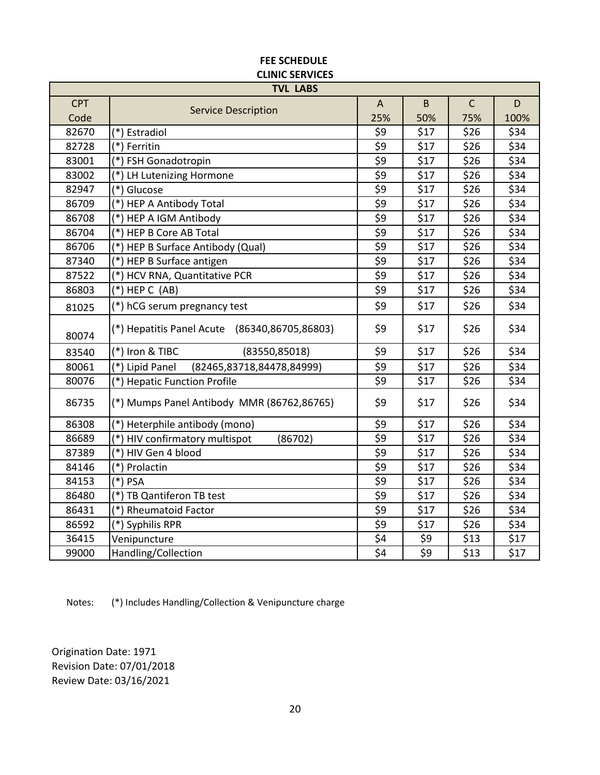| <b>TVL LABS</b> |                                               |     |                  |              |      |  |  |
|-----------------|-----------------------------------------------|-----|------------------|--------------|------|--|--|
| <b>CPT</b>      | <b>Service Description</b>                    | A   | B                | $\mathsf{C}$ | D    |  |  |
| Code            |                                               | 25% | 50%              | 75%          | 100% |  |  |
| 82670           | (*) Estradiol                                 | \$9 | \$17             | \$26         | \$34 |  |  |
| 82728           | (*) Ferritin                                  | \$9 | \$17             | \$26         | \$34 |  |  |
| 83001           | (*) FSH Gonadotropin                          | \$9 | \$17             | \$26         | \$34 |  |  |
| 83002           | (*) LH Lutenizing Hormone                     | \$9 | \$17             | \$26         | \$34 |  |  |
| 82947           | (*) Glucose                                   | \$9 | \$17             | \$26         | \$34 |  |  |
| 86709           | (*) HEP A Antibody Total                      | \$9 | \$17             | \$26         | \$34 |  |  |
| 86708           | (*) HEP A IGM Antibody                        | \$9 | \$17             | \$26         | \$34 |  |  |
| 86704           | (*) HEP B Core AB Total                       | \$9 | \$17             | \$26         | \$34 |  |  |
| 86706           | (*) HEP B Surface Antibody (Qual)             | \$9 | \$17             | \$26         | \$34 |  |  |
| 87340           | (*) HEP B Surface antigen                     | \$9 | \$17             | \$26         | \$34 |  |  |
| 87522           | (*) HCV RNA, Quantitative PCR                 | \$9 | \$17             | \$26         | \$34 |  |  |
| 86803           | $(*)$ HEP C (AB)                              | \$9 | \$17             | \$26         | \$34 |  |  |
| 81025           | (*) hCG serum pregnancy test                  | \$9 | \$17             | \$26         | \$34 |  |  |
| 80074           | (*) Hepatitis Panel Acute (86340,86705,86803) | \$9 | \$17             | \$26         | \$34 |  |  |
| 83540           | (*) Iron & TIBC<br>(83550, 85018)             | \$9 | \$17             | \$26         | \$34 |  |  |
| 80061           | (*) Lipid Panel<br>(82465,83718,84478,84999)  | \$9 | \$17             | \$26         | \$34 |  |  |
| 80076           | (*) Hepatic Function Profile                  | \$9 | \$17             | \$26         | \$34 |  |  |
| 86735           | (*) Mumps Panel Antibody MMR (86762,86765)    | \$9 | \$17             | \$26         | \$34 |  |  |
| 86308           | (*) Heterphile antibody (mono)                | \$9 | \$17             | \$26         | \$34 |  |  |
| 86689           | (*) HIV confirmatory multispot<br>(86702)     | \$9 | \$17             | \$26         | \$34 |  |  |
| 87389           | (*) HIV Gen 4 blood                           | \$9 | \$17             | \$26         | \$34 |  |  |
| 84146           | (*) Prolactin                                 | \$9 | \$17             | \$26         | \$34 |  |  |
| 84153           | $(*)$ PSA                                     | \$9 | \$17             | \$26         | \$34 |  |  |
| 86480           | (*) TB Qantiferon TB test                     | \$9 | \$17             | \$26         | \$34 |  |  |
| 86431           | (*) Rheumatoid Factor                         | \$9 | \$17             | \$26         | \$34 |  |  |
| 86592           | (*) Syphilis RPR                              | \$9 | \$17             | \$26         | \$34 |  |  |
| 36415           | Venipuncture                                  | \$4 | \$9              | \$13         | \$17 |  |  |
| 99000           | Handling/Collection                           | \$4 | $\overline{\xi}$ | \$13         | \$17 |  |  |

Notes: (\*) Includes Handling/Collection & Venipuncture charge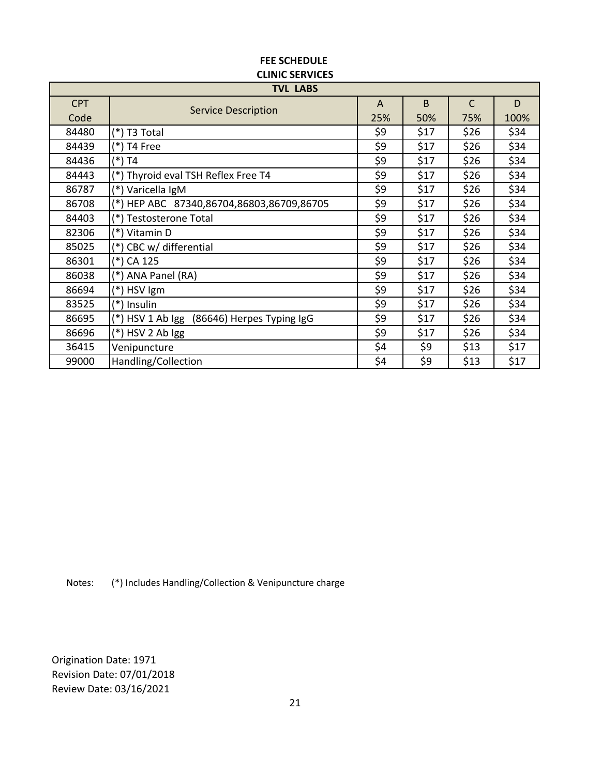| <b>TVL LABS</b> |                                               |     |      |              |      |  |  |
|-----------------|-----------------------------------------------|-----|------|--------------|------|--|--|
| <b>CPT</b>      | <b>Service Description</b>                    | A   | B    | $\mathsf{C}$ | D    |  |  |
| Code            |                                               | 25% | 50%  | 75%          | 100% |  |  |
| 84480           | (*) T3 Total                                  | \$9 | \$17 | \$26         | \$34 |  |  |
| 84439           | (*) T4 Free                                   | \$9 | \$17 | \$26         | \$34 |  |  |
| 84436           | (*) T4                                        | \$9 | \$17 | \$26         | \$34 |  |  |
| 84443           | (*) Thyroid eval TSH Reflex Free T4           | \$9 | \$17 | \$26         | \$34 |  |  |
| 86787           | Varicella IgM<br>(*)                          | \$9 | \$17 | \$26         | \$34 |  |  |
| 86708           | HEP ABC 87340,86704,86803,86709,86705         | \$9 | \$17 | \$26         | \$34 |  |  |
| 84403           | <b>Testosterone Total</b>                     | \$9 | \$17 | \$26         | \$34 |  |  |
| 82306           | (*) Vitamin D                                 | \$9 | \$17 | \$26         | \$34 |  |  |
| 85025           | (*) CBC w/ differential                       | \$9 | \$17 | \$26         | \$34 |  |  |
| 86301           | (*) CA 125                                    | \$9 | \$17 | \$26         | \$34 |  |  |
| 86038           | (*) ANA Panel (RA)                            | \$9 | \$17 | \$26         | \$34 |  |  |
| 86694           | (*) HSV Igm                                   | \$9 | \$17 | \$26         | \$34 |  |  |
| 83525           | (*) Insulin                                   | \$9 | \$17 | \$26         | \$34 |  |  |
| 86695           | (*) HSV 1 Ab Igg<br>(86646) Herpes Typing IgG | \$9 | \$17 | \$26         | \$34 |  |  |
| 86696           | (*) HSV 2 Ab Igg                              | \$9 | \$17 | \$26         | \$34 |  |  |
| 36415           | Venipuncture                                  | \$4 | \$9  | \$13         | \$17 |  |  |
| 99000           | Handling/Collection                           | \$4 | \$9  | \$13         | \$17 |  |  |

Notes: (\*) Includes Handling/Collection & Venipuncture charge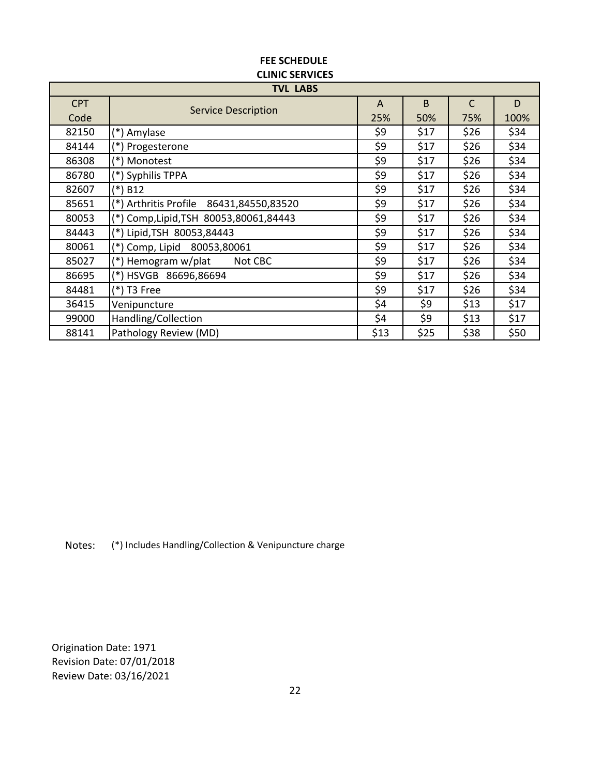| <b>TVL LABS</b> |                                             |                |      |              |      |  |  |  |
|-----------------|---------------------------------------------|----------------|------|--------------|------|--|--|--|
| <b>CPT</b>      | <b>Service Description</b>                  | $\overline{A}$ | B    | $\mathsf{C}$ | D    |  |  |  |
| Code            |                                             | 25%            | 50%  | 75%          | 100% |  |  |  |
| 82150           | (*) Amylase                                 | \$9            | \$17 | \$26         | \$34 |  |  |  |
| 84144           | (*)<br>Progesterone                         | \$9            | \$17 | \$26         | \$34 |  |  |  |
| 86308           | (*) Monotest                                | \$9            | \$17 | \$26         | \$34 |  |  |  |
| 86780           | (*) Syphilis TPPA                           | \$9            | \$17 | \$26         | \$34 |  |  |  |
| 82607           | $(*)$ B12                                   | \$9            | \$17 | \$26         | \$34 |  |  |  |
| 85651           | (*) Arthritis Profile<br>86431,84550,83520  | \$9            | \$17 | \$26         | \$34 |  |  |  |
| 80053           | Comp, Lipid, TSH 80053, 80061, 84443<br>(*) | \$9            | \$17 | \$26         | \$34 |  |  |  |
| 84443           | (*) Lipid, TSH 80053, 84443                 | \$9            | \$17 | \$26         | \$34 |  |  |  |
| 80061           | Comp, Lipid 80053,80061<br>(*)              | \$9            | \$17 | \$26         | \$34 |  |  |  |
| 85027           | Hemogram w/plat<br>Not CBC<br>(*)           | \$9            | \$17 | \$26         | \$34 |  |  |  |
| 86695           | (*) HSVGB 86696,86694                       | \$9            | \$17 | \$26         | \$34 |  |  |  |
| 84481           | (*) T3 Free                                 | \$9            | \$17 | \$26         | \$34 |  |  |  |
| 36415           | Venipuncture                                | \$4            | \$9  | \$13         | \$17 |  |  |  |
| 99000           | Handling/Collection                         | \$4            | \$9  | \$13         | \$17 |  |  |  |
| 88141           | Pathology Review (MD)                       | \$13           | \$25 | \$38         | \$50 |  |  |  |

# **CLINIC SERVICES FEE SCHEDULE**

Notes: (\*) Includes Handling/Collection & Venipuncture charge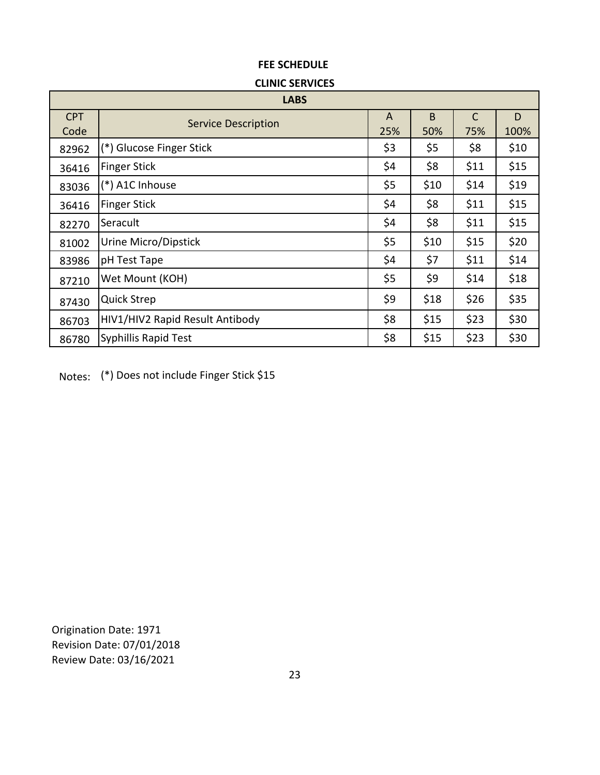#### **CLINIC SERVICES**

|                    | <b>LABS</b>                     |          |          |                     |           |  |  |  |
|--------------------|---------------------------------|----------|----------|---------------------|-----------|--|--|--|
| <b>CPT</b><br>Code | <b>Service Description</b>      | A<br>25% | B<br>50% | $\mathsf{C}$<br>75% | D<br>100% |  |  |  |
| 82962              | (*) Glucose Finger Stick        | \$3      | \$5      | \$8                 | \$10      |  |  |  |
| 36416              | <b>Finger Stick</b>             | \$4      | \$8      | \$11                | \$15      |  |  |  |
| 83036              | (*) A1C Inhouse                 | \$5      | \$10     | \$14                | \$19      |  |  |  |
| 36416              | <b>Finger Stick</b>             | \$4      | \$8      | \$11                | \$15      |  |  |  |
| 82270              | Seracult                        | \$4      | \$8      | \$11                | \$15      |  |  |  |
| 81002              | Urine Micro/Dipstick            | \$5      | \$10     | \$15                | \$20      |  |  |  |
| 83986              | pH Test Tape                    | \$4      | \$7      | \$11                | \$14      |  |  |  |
| 87210              | Wet Mount (KOH)                 | \$5      | \$9      | \$14                | \$18      |  |  |  |
| 87430              | <b>Quick Strep</b>              | \$9      | \$18     | \$26                | \$35      |  |  |  |
| 86703              | HIV1/HIV2 Rapid Result Antibody | \$8      | \$15     | \$23                | \$30      |  |  |  |
| 86780              | Syphillis Rapid Test            | \$8      | \$15     | \$23                | \$30      |  |  |  |

Notes: (\*) Does not include Finger Stick \$15

Review Date: 03/16/2021 Revision Date: 07/01/2018 Origination Date: 1971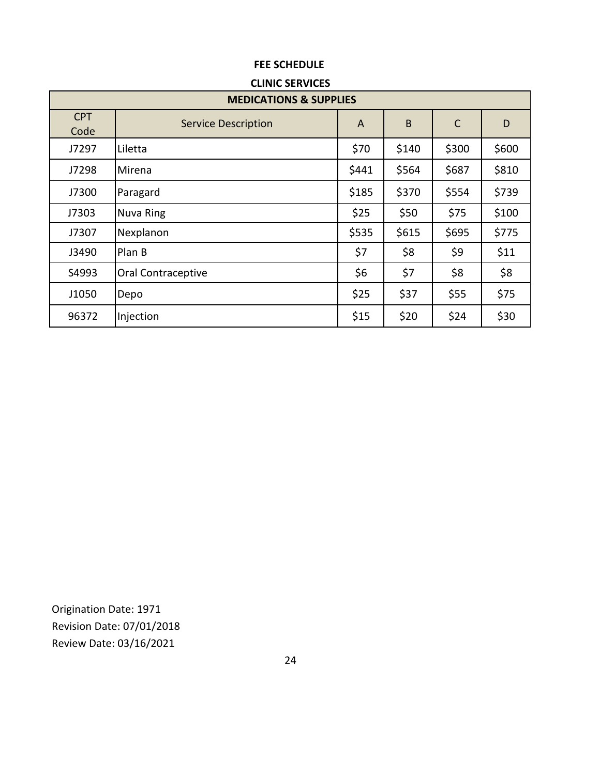### **CLINIC SERVICES**

| <b>MEDICATIONS &amp; SUPPLIES</b> |                            |       |       |              |       |  |  |
|-----------------------------------|----------------------------|-------|-------|--------------|-------|--|--|
| <b>CPT</b><br>Code                | <b>Service Description</b> | A     | B     | $\mathsf{C}$ | D     |  |  |
| J7297                             | Liletta                    | \$70  | \$140 | \$300        | \$600 |  |  |
| J7298                             | Mirena                     | \$441 | \$564 | \$687        | \$810 |  |  |
| J7300                             | Paragard                   | \$185 | \$370 | \$554        | \$739 |  |  |
| J7303                             | Nuva Ring                  | \$25  | \$50  | \$75         | \$100 |  |  |
| J7307                             | Nexplanon                  | \$535 | \$615 | \$695        | \$775 |  |  |
| J3490                             | Plan B                     | \$7   | \$8   | \$9          | \$11  |  |  |
| S4993                             | Oral Contraceptive         | \$6   | \$7   | \$8          | \$8   |  |  |
| J1050                             | Depo                       | \$25  | \$37  | \$55         | \$75  |  |  |
| 96372                             | Injection                  | \$15  | \$20  | \$24         | \$30  |  |  |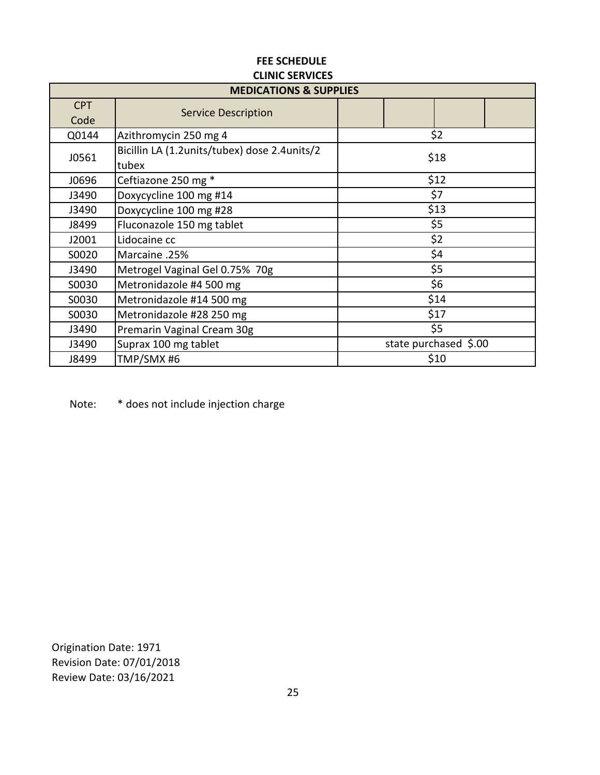| <b>MEDICATIONS &amp; SUPPLIES</b> |                                              |                       |  |  |  |  |
|-----------------------------------|----------------------------------------------|-----------------------|--|--|--|--|
| <b>CPT</b>                        | <b>Service Description</b>                   |                       |  |  |  |  |
| Code                              |                                              |                       |  |  |  |  |
| Q0144                             | Azithromycin 250 mg 4                        | \$2                   |  |  |  |  |
| J0561                             | Bicillin LA (1.2units/tubex) dose 2.4units/2 | \$18                  |  |  |  |  |
|                                   | tubex                                        |                       |  |  |  |  |
| J0696                             | Ceftiazone 250 mg *                          | \$12                  |  |  |  |  |
| J3490                             | Doxycycline 100 mg #14                       | \$7                   |  |  |  |  |
| J3490                             | Doxycycline 100 mg #28                       | \$13                  |  |  |  |  |
| J8499                             | Fluconazole 150 mg tablet                    | \$5                   |  |  |  |  |
| J2001                             | Lidocaine cc                                 | \$2                   |  |  |  |  |
| S0020                             | Marcaine .25%                                | \$4                   |  |  |  |  |
| J3490                             | Metrogel Vaginal Gel 0.75% 70g               | \$5                   |  |  |  |  |
| S0030                             | Metronidazole #4 500 mg                      | \$6                   |  |  |  |  |
| S0030                             | Metronidazole #14 500 mg                     | \$14                  |  |  |  |  |
| S0030                             | Metronidazole #28 250 mg                     | \$17                  |  |  |  |  |
| J3490                             | Premarin Vaginal Cream 30g                   | \$5                   |  |  |  |  |
| J3490                             | Suprax 100 mg tablet                         | state purchased \$.00 |  |  |  |  |
| J8499                             | TMP/SMX #6                                   | \$10                  |  |  |  |  |

Note: \* does not include injection charge